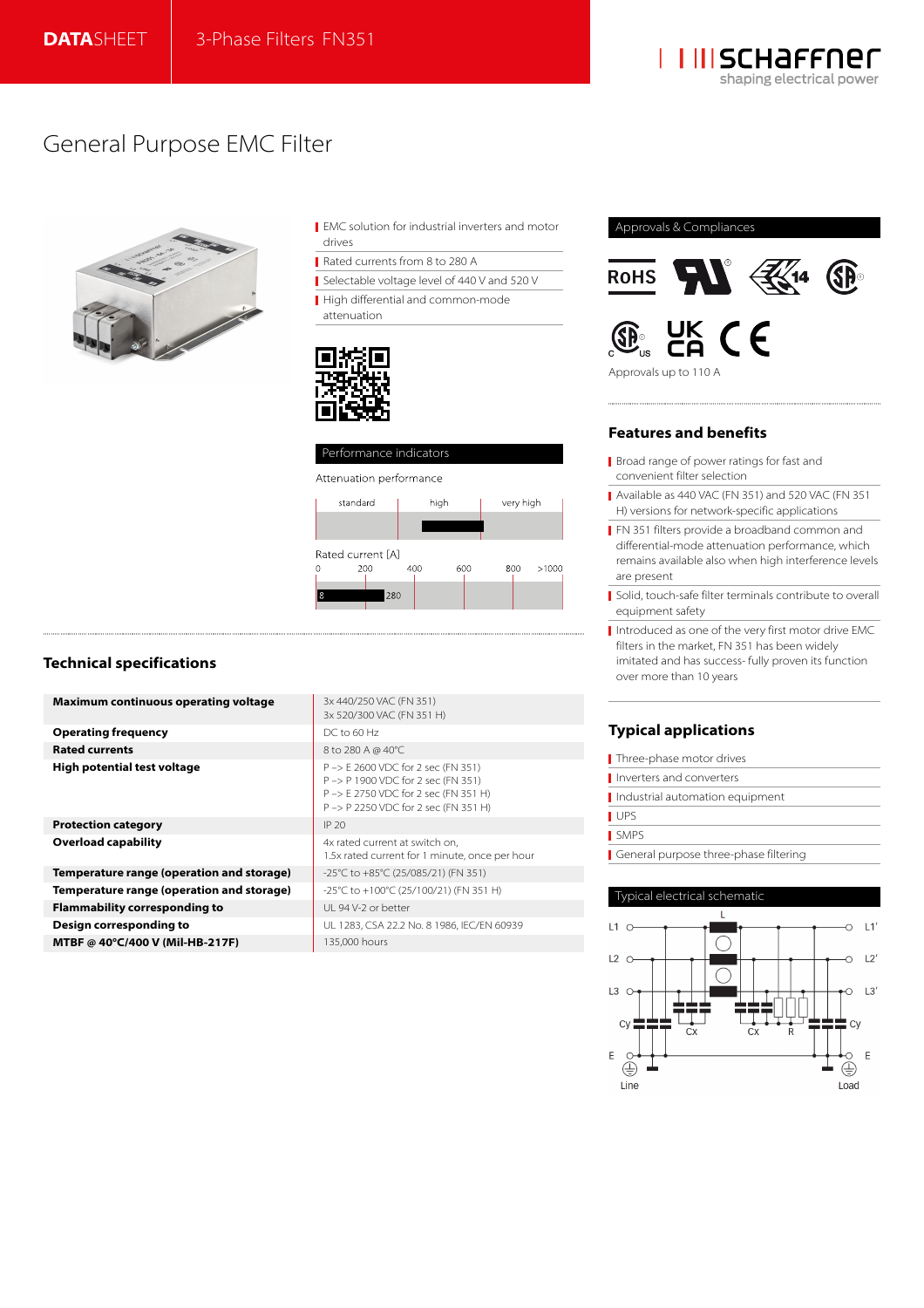

# General Purpose EMC Filter



- EMC solution for industrial inverters and motor drives
- Rated currents from 8 to 280 A
- Selectable voltage level of 440 V and 520 V
- High differential and common-mode

attenuation





# **Technical specifications**

| Maximum continuous operating voltage      | 3x 440/250 VAC (FN 351)<br>3x 520/300 VAC (FN 351 H)                                                                                                    |
|-------------------------------------------|---------------------------------------------------------------------------------------------------------------------------------------------------------|
| Operating frequency                       | $DC$ to 60 Hz                                                                                                                                           |
| <b>Rated currents</b>                     | 8 to 280 A @ 40°C                                                                                                                                       |
| High potential test voltage               | P -> E 2600 VDC for 2 sec (FN 351)<br>P -> P 1900 VDC for 2 sec (FN 351)<br>P -> E 2750 VDC for 2 sec (FN 351 H)<br>P-> P 2250 VDC for 2 sec (FN 351 H) |
| <b>Protection category</b>                | IP 20                                                                                                                                                   |
| Overload capability                       | 4x rated current at switch on,<br>1.5x rated current for 1 minute, once per hour                                                                        |
| Temperature range (operation and storage) | -25°C to +85°C (25/085/21) (FN 351)                                                                                                                     |
| Temperature range (operation and storage) | -25°C to +100°C (25/100/21) (FN 351 H)                                                                                                                  |
| Flammability corresponding to             | UL 94 V-2 or better                                                                                                                                     |
| Design corresponding to                   | UL 1283, CSA 22.2 No. 8 1986, IEC/EN 60939                                                                                                              |
| MTBF @ 40°C/400 V (Mil-HB-217F)           | 135,000 hours                                                                                                                                           |
|                                           |                                                                                                                                                         |

## Approvals & Compliances





### Approvals up to 110 A

# **Features and benefits**

- Broad range of power ratings for fast and convenient filter selection
- Available as 440 VAC (FN 351) and 520 VAC (FN 351 H) versions for network-specific applications
- **FN 351 filters provide a broadband common and** differential-mode attenuation performance, which remains available also when high interference levels are present
- Solid, touch-safe filter terminals contribute to overall equipment safety
- Introduced as one of the very first motor drive EMC filters in the market, FN 351 has been widely imitated and has success- fully proven its function over more than 10 years

# **Typical applications**

| Three-phase motor drives              |
|---------------------------------------|
| I Inverters and converters            |
| Industrial automation equipment       |
| <b>UPS</b>                            |
| <b>SMPS</b>                           |
| General purpose three-phase filtering |

### Typical electrical schematic

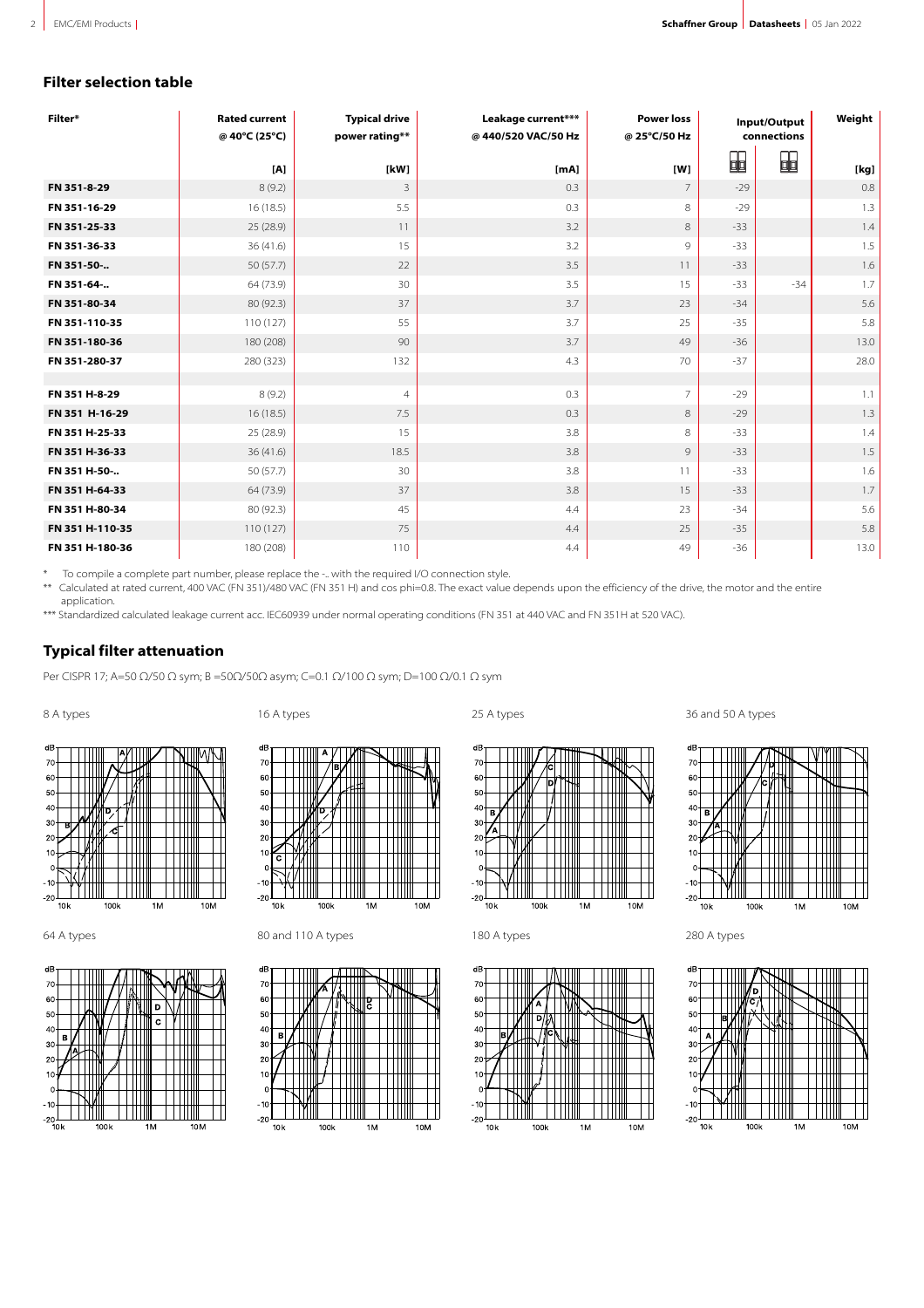# **Filter selection table**

| Filter*         | <b>Rated current</b><br>@ 40°C (25°C) | <b>Typical drive</b><br>power rating** | Leakage current***<br>@440/520 VAC/50 Hz | <b>Power loss</b><br>@ 25°C/50 Hz | Input/Output<br>connections |                | Weight     |
|-----------------|---------------------------------------|----------------------------------------|------------------------------------------|-----------------------------------|-----------------------------|----------------|------------|
|                 | [A]                                   | [kW]                                   | [mA]                                     | [W]                               | ₩                           | $\blacksquare$ | [kg]       |
| FN 351-8-29     | 8(9.2)                                | 3                                      | 0.3                                      | $\overline{7}$                    | $-29$                       |                | 0.8        |
| FN 351-16-29    | 16(18.5)                              | 5.5                                    | 0.3                                      | 8                                 | $-29$                       |                | 1.3        |
| FN 351-25-33    | 25 (28.9)                             | 11                                     | 3.2                                      | 8                                 | $-33$                       |                | 1.4        |
| FN 351-36-33    | 36(41.6)                              | 15                                     | 3.2                                      | 9                                 | $-33$                       |                | 1.5        |
| FN 351-50-      | 50(57.7)                              | 22                                     | 3.5                                      | 11                                | $-33$                       |                | 1.6        |
| FN 351-64-      | 64 (73.9)                             | 30                                     | 3.5                                      | 15                                | $-33$                       | $-34$          | 1.7        |
| FN 351-80-34    | 80 (92.3)                             | 37                                     | 3.7                                      | 23                                | $-34$                       |                | 5.6        |
| FN 351-110-35   | 110(127)                              | 55                                     | 3.7                                      | 25                                | $-35$                       |                | 5.8        |
| FN 351-180-36   | 180 (208)                             | 90                                     | 3.7                                      | 49                                | $-36$                       |                | 13.0       |
| FN 351-280-37   | 280 (323)                             | 132                                    | 4.3                                      | 70                                | $-37$                       |                | 28.0       |
| FN 351 H-8-29   |                                       |                                        | 0.3                                      | $\overline{7}$                    | $-29$                       |                |            |
| FN 351 H-16-29  | 8(9.2)<br>16(18.5)                    | $\overline{4}$<br>7.5                  | 0.3                                      | 8                                 | $-29$                       |                | 1.1<br>1.3 |
| FN 351 H-25-33  | 25 (28.9)                             | 15                                     | 3.8                                      | 8                                 | $-33$                       |                | 1.4        |
| FN 351 H-36-33  | 36(41.6)                              | 18.5                                   | 3.8                                      | 9                                 | $-33$                       |                | 1.5        |
| FN 351 H-50-    | 50 (57.7)                             | 30                                     | 3.8                                      | 11                                | $-33$                       |                | 1.6        |
| FN 351 H-64-33  | 64 (73.9)                             | 37                                     | 3.8                                      | 15                                | $-33$                       |                | 1.7        |
| FN 351 H-80-34  |                                       |                                        |                                          |                                   | $-34$                       |                | 5.6        |
|                 | 80 (92.3)                             | 45                                     | 4.4                                      | 23                                |                             |                |            |
| FN 351 H-110-35 | 110(127)                              | 75                                     | 4.4                                      | 25                                | $-35$                       |                | 5.8        |
| FN 351 H-180-36 | 180 (208)                             | 110                                    | 4.4                                      | 49                                | $-36$                       |                | 13.0       |

\* To compile a complete part number, please replace the -.. with the required I/O connection style.<br>\*\* Calculated at rated current 400 VAC (EN 351)/480 VAC (EN 351 H) and cos phi-0.8. The exact value

Calculated at rated current, 400 VAC (FN 351)/480 VAC (FN 351 H) and cos phi=0.8. The exact value depends upon the efficiency of the drive, the motor and the entire application.

\*\*\* Standardized calculated leakage current acc. IEC60939 under normal operating conditions (FN 351 at 440 VAC and FN 351H at 520 VAC).

# **Typical filter attenuation**

Per CISPR 17; A=50 Ω/50 Ω sym; B =50Ω/50Ω asym; C=0.1 Ω/100 Ω sym; D=100 Ω/0.1 Ω sym









64 A types 280 A types 180 and 110 A types 180 A types 180 A types 280 A types



dB

 $70$ 

60

 $50$ 

 $\overline{4}$ 

 $\overline{3}$ 

 $\overline{2}$ 

 $10$ 

 $\sim$ 

 $10k$ 









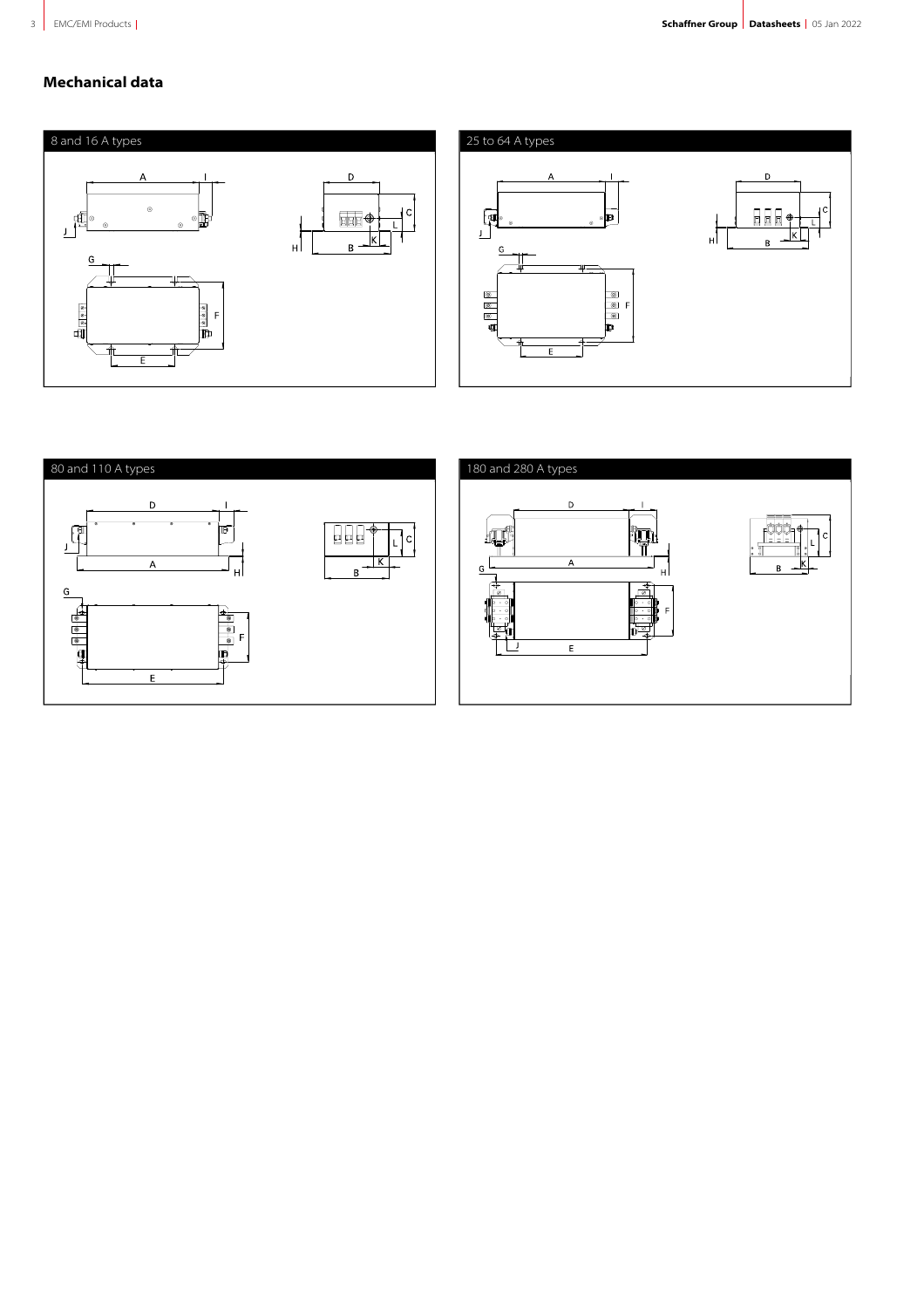# **Mechanical data**



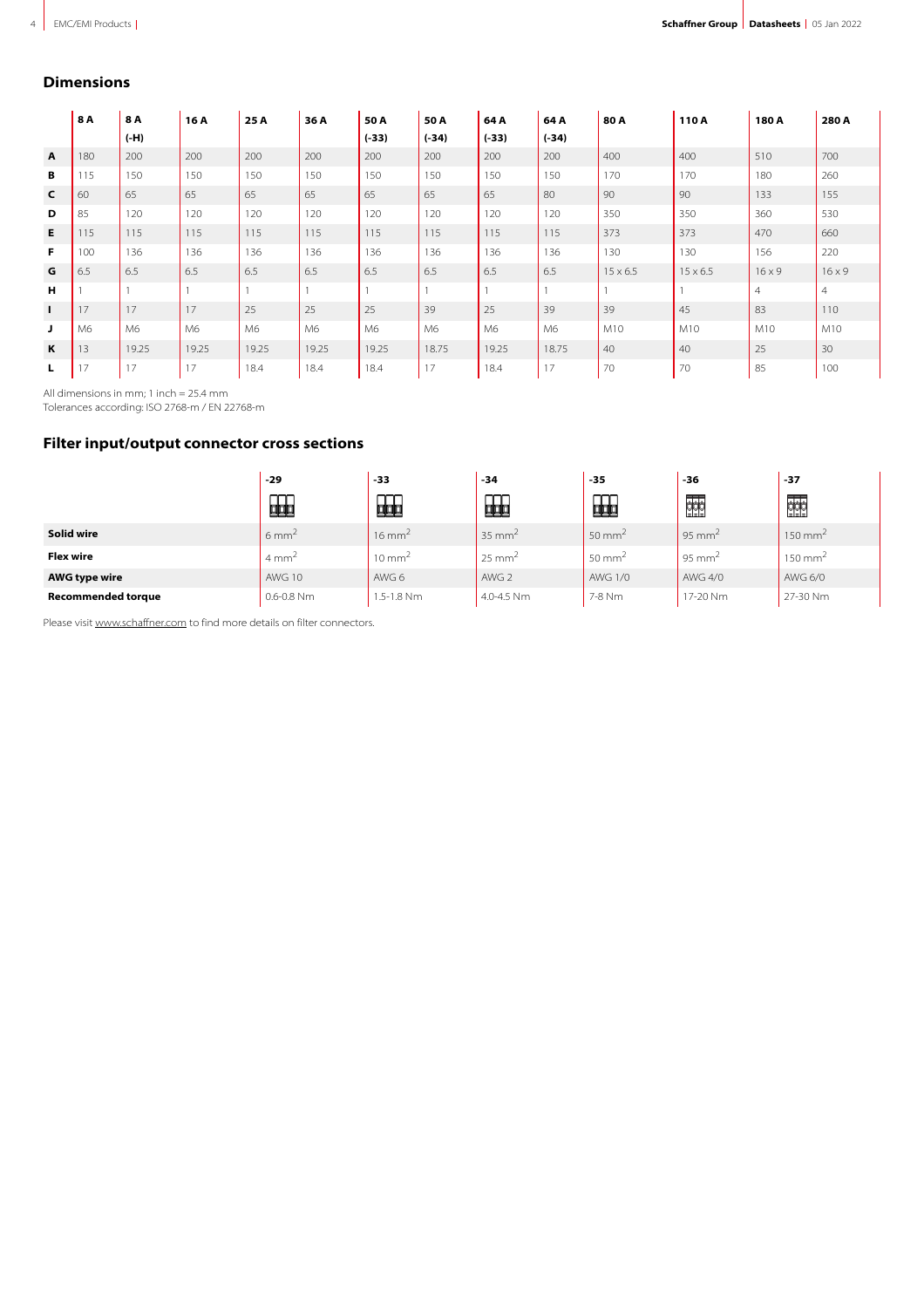#### **Dimensions**

|              | 8A  | 8 A    | 16 A  | 25 A  | 36 A  | 50 A    | 50 A           | 64 A    | 64 A    | 80A             | 110 A           | 180 A          | 280 A          |
|--------------|-----|--------|-------|-------|-------|---------|----------------|---------|---------|-----------------|-----------------|----------------|----------------|
|              |     | $(-H)$ |       |       |       | $(-33)$ | $(-34)$        | $(-33)$ | $(-34)$ |                 |                 |                |                |
| $\mathbf{A}$ | 180 | 200    | 200   | 200   | 200   | 200     | 200            | 200     | 200     | 400             | 400             | 510            | 700            |
| В            | 115 | 150    | 150   | 150   | 150   | 150     | 150            | 150     | 150     | 170             | 170             | 180            | 260            |
| $\mathsf{C}$ | 60  | 65     | 65    | 65    | 65    | 65      | 65             | 65      | 80      | 90              | 90              | 133            | 155            |
| D            | 85  | 120    | 120   | 120   | 120   | 120     | 120            | 120     | 120     | 350             | 350             | 360            | 530            |
| E.           | 115 | 115    | 115   | 115   | 115   | 115     | 115            | 115     | 115     | 373             | 373             | 470            | 660            |
| F.           | 100 | 136    | 136   | 136   | 136   | 136     | 136            | 136     | 136     | 130             | 130             | 156            | 220            |
| G            | 6.5 | 6.5    | 6.5   | 6.5   | 6.5   | 6.5     | 6.5            | 6.5     | 6.5     | $15 \times 6.5$ | $15 \times 6.5$ | $16 \times 9$  | $16 \times 9$  |
| н            |     |        |       |       |       |         |                |         |         |                 |                 | $\overline{4}$ | $\overline{4}$ |
| $\mathbf{I}$ | 17  | 17     | 17    | 25    | 25    | 25      | 39             | 25      | 39      | 39              | 45              | 83             | 110            |
| J            | M6  | M6     | M6    | M6    | M6    | M6      | M <sub>6</sub> | M6      | M6      | M10             | M10             | M10            | M10            |
| K            | 13  | 19.25  | 19.25 | 19.25 | 19.25 | 19.25   | 18.75          | 19.25   | 18.75   | 40              | 40              | 25             | 30             |
| L            | 17  | 17     | 17    | 18.4  | 18.4  | 18.4    | 17             | 18.4    | 17      | 70              | 70              | 85             | 100            |

All dimensions in mm; 1 inch = 25.4 mm

Tolerances according: ISO 2768-m / EN 22768-m

# **Filter input/output connector cross sections**

|                           | $-29$            | -33               | -34               | -35               | -36                | -37                |
|---------------------------|------------------|-------------------|-------------------|-------------------|--------------------|--------------------|
|                           | 的                | 疈                 | 品                 | ~~<br>蛔           | 棘                  | 棘                  |
| Solid wire                | $6 \text{ mm}^2$ | $16 \text{ mm}^2$ | $35 \text{ mm}^2$ | $50 \text{ mm}^2$ | 95 mm <sup>2</sup> | $150 \text{ mm}^2$ |
| <b>Flex wire</b>          | $4 \text{ mm}^2$ | $10 \text{ mm}^2$ | $25 \text{ mm}^2$ | $50 \text{ mm}^2$ | 95 mm <sup>2</sup> | $150 \text{ mm}^2$ |
| <b>AWG type wire</b>      | <b>AWG 10</b>    | AWG 6             | AWG 2             | <b>AWG 1/0</b>    | AWG 4/0            | AWG 6/0            |
| <b>Recommended torque</b> | $0.6 - 0.8$ Nm   | $1.5 - 1.8$ Nm    | $4.0 - 4.5$ Nm    | 7-8 Nm            | 17-20 Nm           | 27-30 Nm           |

Please visit [www.schaffner.com](https://www.schaffner.com) to find more details on filter connectors.